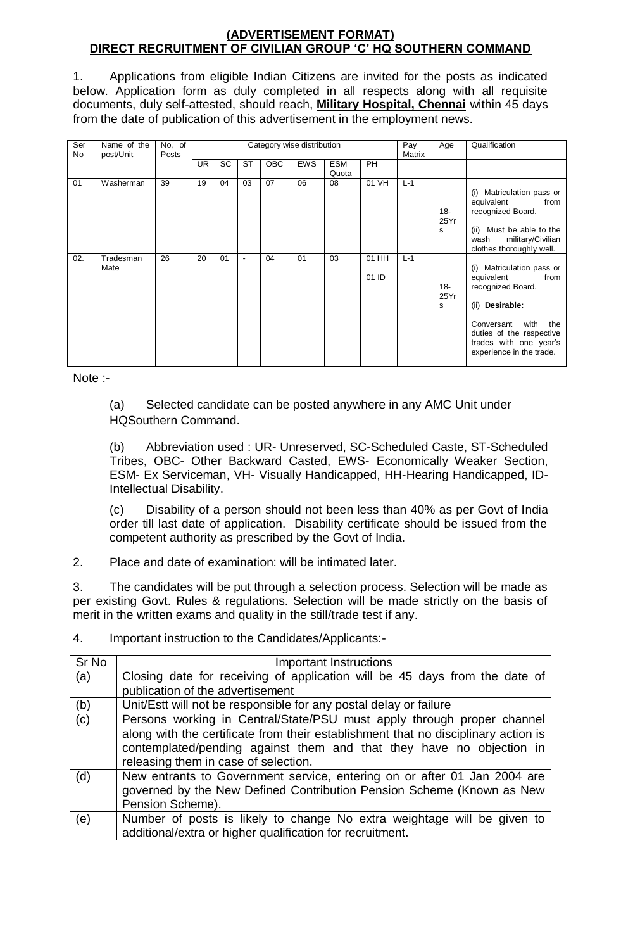## **(ADVERTISEMENT FORMAT) DIRECT RECRUITMENT OF CIVILIAN GROUP 'C' HQ SOUTHERN COMMAND**

1. Applications from eligible Indian Citizens are invited for the posts as indicated below. Application form as duly completed in all respects along with all requisite documents, duly self-attested, should reach, **Military Hospital, Chennai** within 45 days from the date of publication of this advertisement in the employment news.

| Ser<br>No | Name of the<br>post/Unit | No, of<br>Posts | Category wise distribution |          |                          |            |            |                     |                | Pay<br>Matrix | Age                 | Qualification                                                                                                                                                                                          |
|-----------|--------------------------|-----------------|----------------------------|----------|--------------------------|------------|------------|---------------------|----------------|---------------|---------------------|--------------------------------------------------------------------------------------------------------------------------------------------------------------------------------------------------------|
|           |                          |                 | UR.                        | SC       | <b>ST</b>                | <b>OBC</b> | <b>EWS</b> | <b>ESM</b><br>Quota | <b>PH</b>      |               |                     |                                                                                                                                                                                                        |
| 01        | Washerman                | 39<br>26        | 19                         | 04<br>01 | 03                       | 07         | 06<br>01   | 08<br>03            | 01 VH          | $L-1$         | $18 -$<br>25Yr<br>s | Matriculation pass or<br>(i)<br>equivalent<br>from<br>recognized Board.<br>(ii) Must be able to the<br>military/Civilian<br>wash<br>clothes thoroughly well.                                           |
| 02.       | Tradesman<br>Mate        |                 | 20                         |          | $\overline{\phantom{a}}$ | 04         |            |                     | 01 HH<br>01 ID | $L-1$         | $18 -$<br>25Yr<br>s | (i) Matriculation pass or<br>equivalent<br>from<br>recognized Board.<br>(ii) Desirable:<br>with<br>Conversant<br>the<br>duties of the respective<br>trades with one year's<br>experience in the trade. |

Note :-

(a) Selected candidate can be posted anywhere in any AMC Unit under HQSouthern Command.

(b) Abbreviation used : UR- Unreserved, SC-Scheduled Caste, ST-Scheduled Tribes, OBC- Other Backward Casted, EWS- Economically Weaker Section, ESM- Ex Serviceman, VH- Visually Handicapped, HH-Hearing Handicapped, ID-Intellectual Disability.

(c) Disability of a person should not been less than 40% as per Govt of India order till last date of application. Disability certificate should be issued from the competent authority as prescribed by the Govt of India.

2. Place and date of examination: will be intimated later.

3. The candidates will be put through a selection process. Selection will be made as per existing Govt. Rules & regulations. Selection will be made strictly on the basis of merit in the written exams and quality in the still/trade test if any.

| Sr <sub>No</sub> | <b>Important Instructions</b>                                                                                                                                                                                                                                                |
|------------------|------------------------------------------------------------------------------------------------------------------------------------------------------------------------------------------------------------------------------------------------------------------------------|
| (a)              | Closing date for receiving of application will be 45 days from the date of                                                                                                                                                                                                   |
|                  | publication of the advertisement                                                                                                                                                                                                                                             |
| (b)              | Unit/Estt will not be responsible for any postal delay or failure                                                                                                                                                                                                            |
| (c)              | Persons working in Central/State/PSU must apply through proper channel<br>along with the certificate from their establishment that no disciplinary action is<br>contemplated/pending against them and that they have no objection in<br>releasing them in case of selection. |
| (d)              | New entrants to Government service, entering on or after 01 Jan 2004 are<br>governed by the New Defined Contribution Pension Scheme (Known as New<br>Pension Scheme).                                                                                                        |
| (e)              | Number of posts is likely to change No extra weightage will be given to<br>additional/extra or higher qualification for recruitment.                                                                                                                                         |

4. Important instruction to the Candidates/Applicants:-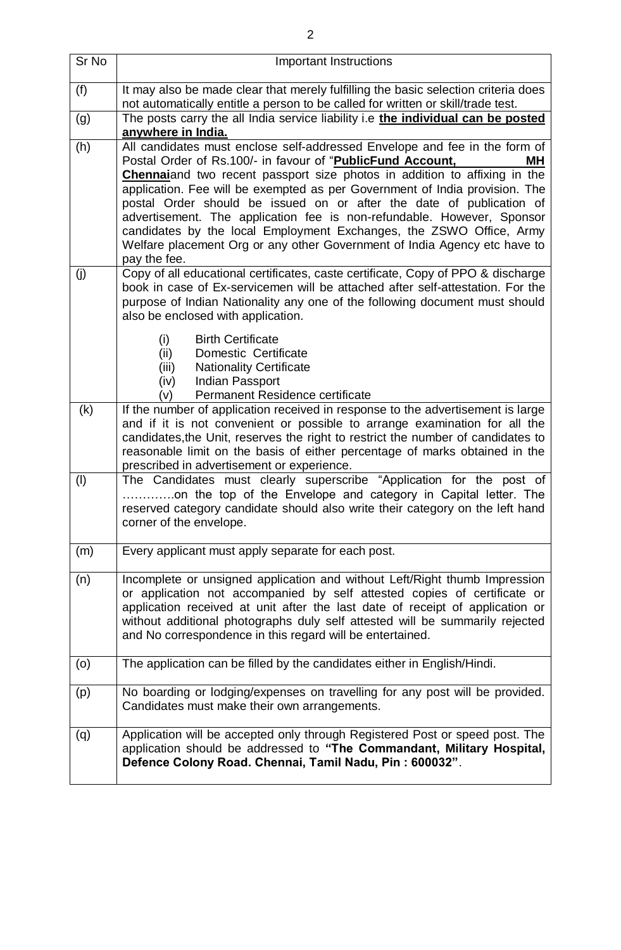| Sr No | <b>Important Instructions</b>                                                                                                                                                                                                                                                                                                                                                                                                                                                                                                                                                                                                            |
|-------|------------------------------------------------------------------------------------------------------------------------------------------------------------------------------------------------------------------------------------------------------------------------------------------------------------------------------------------------------------------------------------------------------------------------------------------------------------------------------------------------------------------------------------------------------------------------------------------------------------------------------------------|
| (f)   | It may also be made clear that merely fulfilling the basic selection criteria does<br>not automatically entitle a person to be called for written or skill/trade test.                                                                                                                                                                                                                                                                                                                                                                                                                                                                   |
| (g)   | The posts carry the all India service liability i.e the individual can be posted<br>anywhere in India.                                                                                                                                                                                                                                                                                                                                                                                                                                                                                                                                   |
| (h)   | All candidates must enclose self-addressed Envelope and fee in the form of<br>Postal Order of Rs.100/- in favour of "PublicFund Account,<br>MН<br><b>Chennai</b> and two recent passport size photos in addition to affixing in the<br>application. Fee will be exempted as per Government of India provision. The<br>postal Order should be issued on or after the date of publication of<br>advertisement. The application fee is non-refundable. However, Sponsor<br>candidates by the local Employment Exchanges, the ZSWO Office, Army<br>Welfare placement Org or any other Government of India Agency etc have to<br>pay the fee. |
| (j)   | Copy of all educational certificates, caste certificate, Copy of PPO & discharge<br>book in case of Ex-servicemen will be attached after self-attestation. For the<br>purpose of Indian Nationality any one of the following document must should<br>also be enclosed with application.<br><b>Birth Certificate</b><br>(i)<br>Domestic Certificate<br>(ii)<br><b>Nationality Certificate</b><br>(iii)<br>(iv)<br>Indian Passport<br>Permanent Residence certificate<br>(v)                                                                                                                                                               |
| (k)   | If the number of application received in response to the advertisement is large<br>and if it is not convenient or possible to arrange examination for all the<br>candidates, the Unit, reserves the right to restrict the number of candidates to<br>reasonable limit on the basis of either percentage of marks obtained in the<br>prescribed in advertisement or experience.                                                                                                                                                                                                                                                           |
| (1)   | The Candidates must clearly superscribe "Application for the post of<br>on the top of the Envelope and category in Capital letter. The<br>reserved category candidate should also write their category on the left hand<br>corner of the envelope.                                                                                                                                                                                                                                                                                                                                                                                       |
| (m)   | Every applicant must apply separate for each post.                                                                                                                                                                                                                                                                                                                                                                                                                                                                                                                                                                                       |
| (n)   | Incomplete or unsigned application and without Left/Right thumb Impression<br>or application not accompanied by self attested copies of certificate or<br>application received at unit after the last date of receipt of application or<br>without additional photographs duly self attested will be summarily rejected<br>and No correspondence in this regard will be entertained.                                                                                                                                                                                                                                                     |
| (0)   | The application can be filled by the candidates either in English/Hindi.                                                                                                                                                                                                                                                                                                                                                                                                                                                                                                                                                                 |
| (p)   | No boarding or lodging/expenses on travelling for any post will be provided.<br>Candidates must make their own arrangements.                                                                                                                                                                                                                                                                                                                                                                                                                                                                                                             |
| (q)   | Application will be accepted only through Registered Post or speed post. The<br>application should be addressed to "The Commandant, Military Hospital,<br>Defence Colony Road. Chennai, Tamil Nadu, Pin: 600032".                                                                                                                                                                                                                                                                                                                                                                                                                        |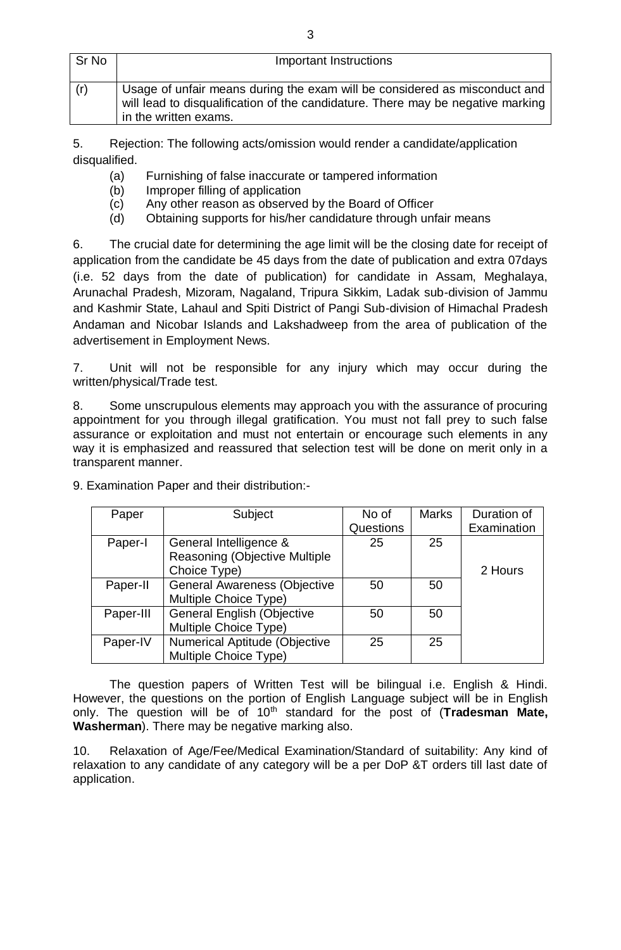| Sr No | Important Instructions                                                                                                                                                                 |
|-------|----------------------------------------------------------------------------------------------------------------------------------------------------------------------------------------|
| (r)   | Usage of unfair means during the exam will be considered as misconduct and<br>will lead to disqualification of the candidature. There may be negative marking<br>in the written exams. |

5. Rejection: The following acts/omission would render a candidate/application disqualified.

- (a) Furnishing of false inaccurate or tampered information
- (b) Improper filling of application
- (c) Any other reason as observed by the Board of Officer
- (d) Obtaining supports for his/her candidature through unfair means

6. The crucial date for determining the age limit will be the closing date for receipt of application from the candidate be 45 days from the date of publication and extra 07days (i.e. 52 days from the date of publication) for candidate in Assam, Meghalaya, Arunachal Pradesh, Mizoram, Nagaland, Tripura Sikkim, Ladak sub-division of Jammu and Kashmir State, Lahaul and Spiti District of Pangi Sub-division of Himachal Pradesh Andaman and Nicobar Islands and Lakshadweep from the area of publication of the advertisement in Employment News.

7. Unit will not be responsible for any injury which may occur during the written/physical/Trade test.

8. Some unscrupulous elements may approach you with the assurance of procuring appointment for you through illegal gratification. You must not fall prey to such false assurance or exploitation and must not entertain or encourage such elements in any way it is emphasized and reassured that selection test will be done on merit only in a transparent manner.

| Paper     | Subject                             | No of     | <b>Marks</b> | Duration of |
|-----------|-------------------------------------|-----------|--------------|-------------|
|           |                                     | Questions |              | Examination |
| Paper-I   | General Intelligence &              | 25        | 25           |             |
|           | Reasoning (Objective Multiple       |           |              |             |
|           | Choice Type)                        |           |              | 2 Hours     |
| Paper-II  | <b>General Awareness (Objective</b> | 50        | 50           |             |
|           | Multiple Choice Type)               |           |              |             |
| Paper-III | <b>General English (Objective</b>   | 50        | 50           |             |
|           | Multiple Choice Type)               |           |              |             |
| Paper-IV  | Numerical Aptitude (Objective       | 25        | 25           |             |
|           | Multiple Choice Type)               |           |              |             |

9. Examination Paper and their distribution:-

The question papers of Written Test will be bilingual i.e. English & Hindi. However, the questions on the portion of English Language subject will be in English only. The question will be of 10th standard for the post of (**Tradesman Mate, Washerman**). There may be negative marking also.

10. Relaxation of Age/Fee/Medical Examination/Standard of suitability: Any kind of relaxation to any candidate of any category will be a per DoP &T orders till last date of application.